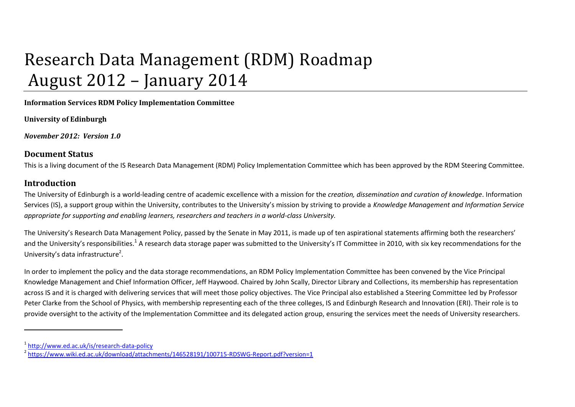# Research Data Management (RDM) Roadmap August 2012 – January 2014

**Information Services RDM Policy Implementation Committee**

**University of Edinburgh**

*November 2012: Version 1.0*

#### **Document Status**

This is a living document of the IS Research Data Management (RDM) Policy Implementation Committee which has been approved by the RDM Steering Committee.

### **Introduction**

 $\overline{a}$ 

The University of Edinburgh is a world-leading centre of academic excellence with a mission for the *creation, dissemination and curation of knowledge*. Information Services (IS), a support group within the University, contributes to the University's mission by striving to provide a *Knowledge Management and Information Service appropriate for supporting and enabling learners, researchers and teachers in a world-class University.*

The University's Research Data Management Policy, passed by the Senate in May 2011, is made up of ten aspirational statements affirming both the researchers' and the University's responsibilities.<sup>1</sup> A research data storage paper was submitted to the University's IT Committee in 2010, with six key recommendations for the University's data infrastructure<sup>2</sup>.

In order to implement the policy and the data storage recommendations, an RDM Policy Implementation Committee has been convened by the Vice Principal Knowledge Management and Chief Information Officer, Jeff Haywood. Chaired by John Scally, Director Library and Collections, its membership has representation across IS and it is charged with delivering services that will meet those policy objectives. The Vice Principal also established a Steering Committee led by Professor Peter Clarke from the School of Physics, with membership representing each of the three colleges, IS and Edinburgh Research and Innovation (ERI). Their role is to provide oversight to the activity of the Implementation Committee and its delegated action group, ensuring the services meet the needs of University researchers.

<sup>1</sup> <http://www.ed.ac.uk/is/research-data-policy>

<sup>&</sup>lt;sup>2</sup> <https://www.wiki.ed.ac.uk/download/attachments/146528191/100715-RDSWG-Report.pdf?version=1>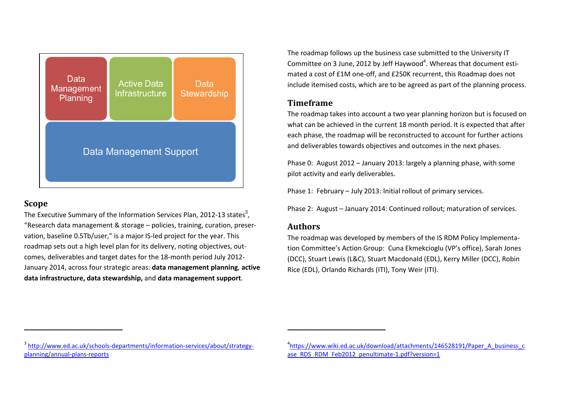

#### **Scope**

 $\overline{a}$ 

The Executive Summary of the Information Services Plan, 2012-13 states<sup>3</sup>, "Research data management & storage – policies, training, curation, preservation, baseline 0.5Tb/user," is a major IS-led project for the year. This roadmap sets out a high level plan for its delivery, noting objectives, outcomes, deliverables and target dates for the 18-month period July 2012- January 2014, across four strategic areas: **data management planning**, **active data infrastructure, data stewardship,** and **data management support**.

The roadmap follows up the business case submitted to the University IT Committee on 3 June, 2012 by Jeff Haywood<sup>4</sup>. Whereas that document estimated a cost of £1M one-off, and £250K recurrent, this Roadmap does not include itemised costs, which are to be agreed as part of the planning process.

#### **Timeframe**

The roadmap takes into account a two year planning horizon but is focused on what can be achieved in the current 18 month period. It is expected that after each phase, the roadmap will be reconstructed to account for further actions and deliverables towards objectives and outcomes in the next phases.

Phase 0: August 2012 – January 2013: largely a planning phase, with some pilot activity and early deliverables.

Phase 1: February – July 2013: Initial rollout of primary services.

Phase 2: August – January 2014: Continued rollout; maturation of services.

#### **Authors**

 $\overline{a}$ 

The roadmap was developed by members of the IS RDM Policy Implementation Committee's Action Group: Cuna Ekmekcioglu (VP's office), Sarah Jones (DCC), Stuart Lewis (L&C), Stuart Macdonald (EDL), Kerry Miller (DCC), Robin Rice (EDL), Orlando Richards (ITI), Tony Weir (ITI).

<sup>&</sup>lt;sup>3</sup> [http://www.ed.ac.uk/schools-departments/information-services/about/strategy](http://www.ed.ac.uk/schools-departments/information-services/about/strategy-planning/annual-plans-reports)[planning/annual-plans-reports](http://www.ed.ac.uk/schools-departments/information-services/about/strategy-planning/annual-plans-reports)

<sup>&</sup>lt;sup>4</sup>[https://www.wiki.ed.ac.uk/download/attachments/146528191/Paper\\_A\\_business\\_c](https://www.wiki.ed.ac.uk/download/attachments/146528191/Paper_A_business_case_RDS_RDM_Feb2012_penultimate-1.pdf?version=1) [ase\\_RDS\\_RDM\\_Feb2012\\_penultimate-1.pdf?version=1](https://www.wiki.ed.ac.uk/download/attachments/146528191/Paper_A_business_case_RDS_RDM_Feb2012_penultimate-1.pdf?version=1)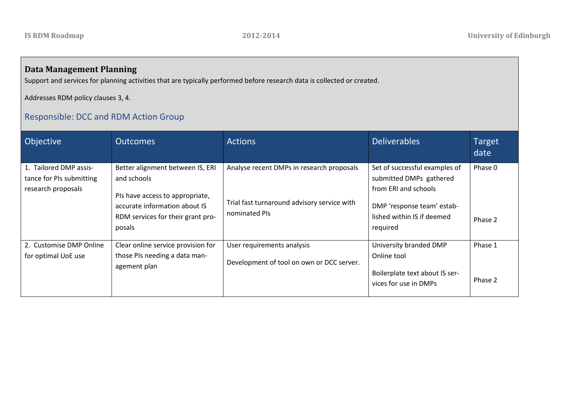## **Data Management Planning**

Support and services for planning activities that are typically performed before research data is collected or created.

Addresses RDM policy clauses 3, 4.

## Responsible: DCC and RDM Action Group

| Objective                                                                | <b>Outcomes</b>                                                                                                                                                    | <b>Actions</b>                                                                                            | <b>Deliverables</b>                                                                                                                                      | <b>Target</b><br>date |
|--------------------------------------------------------------------------|--------------------------------------------------------------------------------------------------------------------------------------------------------------------|-----------------------------------------------------------------------------------------------------------|----------------------------------------------------------------------------------------------------------------------------------------------------------|-----------------------|
| 1. Tailored DMP assis-<br>tance for PIs submitting<br>research proposals | Better alignment between IS, ERI<br>and schools<br>PIs have access to appropriate,<br>accurate information about IS<br>RDM services for their grant pro-<br>posals | Analyse recent DMPs in research proposals<br>Trial fast turnaround advisory service with<br>nominated PIs | Set of successful examples of<br>submitted DMPs gathered<br>from ERI and schools<br>DMP 'response team' estab-<br>lished within IS if deemed<br>required | Phase 0<br>Phase 2    |
| 2. Customise DMP Online<br>for optimal UoE use                           | Clear online service provision for<br>those PIs needing a data man-<br>agement plan                                                                                | User requirements analysis<br>Development of tool on own or DCC server.                                   | University branded DMP<br>Online tool<br>Boilerplate text about IS ser-<br>vices for use in DMPs                                                         | Phase 1<br>Phase 2    |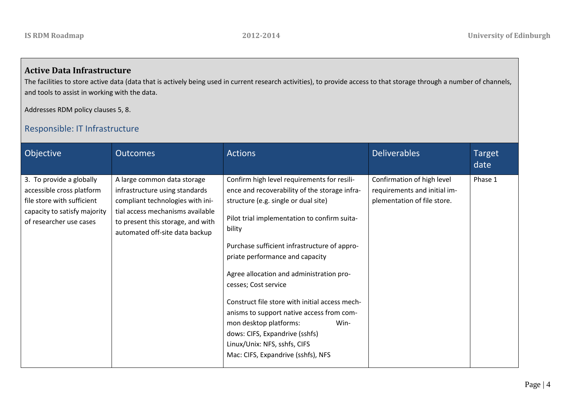## **Active Data Infrastructure**

The facilities to store active data (data that is actively being used in current research activities), to provide access to that storage through a number of channels, and tools to assist in working with the data.

Addresses RDM policy clauses 5, 8.

## Responsible: IT Infrastructure

| Objective                                                                                                                                      | <b>Outcomes</b>                                                                                                                                                                                              | <b>Actions</b>                                                                                                                                                                                                                                                                                                                                                                                                                                                                                                                                                                                 | <b>Deliverables</b>                                                                       | <b>Target</b><br>date |
|------------------------------------------------------------------------------------------------------------------------------------------------|--------------------------------------------------------------------------------------------------------------------------------------------------------------------------------------------------------------|------------------------------------------------------------------------------------------------------------------------------------------------------------------------------------------------------------------------------------------------------------------------------------------------------------------------------------------------------------------------------------------------------------------------------------------------------------------------------------------------------------------------------------------------------------------------------------------------|-------------------------------------------------------------------------------------------|-----------------------|
| 3. To provide a globally<br>accessible cross platform<br>file store with sufficient<br>capacity to satisfy majority<br>of researcher use cases | A large common data storage<br>infrastructure using standards<br>compliant technologies with ini-<br>tial access mechanisms available<br>to present this storage, and with<br>automated off-site data backup | Confirm high level requirements for resili-<br>ence and recoverability of the storage infra-<br>structure (e.g. single or dual site)<br>Pilot trial implementation to confirm suita-<br>bility<br>Purchase sufficient infrastructure of appro-<br>priate performance and capacity<br>Agree allocation and administration pro-<br>cesses; Cost service<br>Construct file store with initial access mech-<br>anisms to support native access from com-<br>mon desktop platforms:<br>Win-<br>dows: CIFS, Expandrive (sshfs)<br>Linux/Unix: NFS, sshfs, CIFS<br>Mac: CIFS, Expandrive (sshfs), NFS | Confirmation of high level<br>requirements and initial im-<br>plementation of file store. | Phase 1               |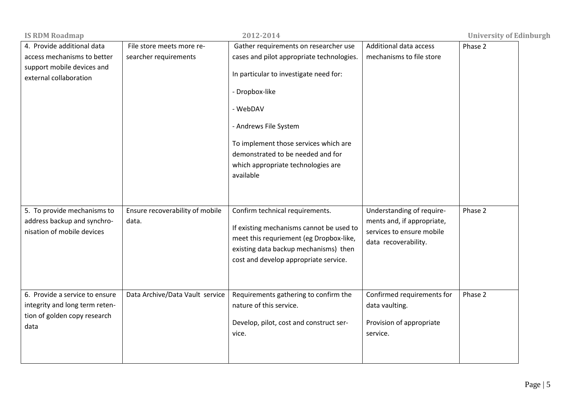| <b>IS RDM Roadmap</b>                                                                                             |                                                    | 2012-2014                                                                                                                                                                                                                                                                                                            |                                                                                                              | <b>University of Edinburgh</b> |
|-------------------------------------------------------------------------------------------------------------------|----------------------------------------------------|----------------------------------------------------------------------------------------------------------------------------------------------------------------------------------------------------------------------------------------------------------------------------------------------------------------------|--------------------------------------------------------------------------------------------------------------|--------------------------------|
| 4. Provide additional data<br>access mechanisms to better<br>support mobile devices and<br>external collaboration | File store meets more re-<br>searcher requirements | Gather requirements on researcher use<br>cases and pilot appropriate technologies.<br>In particular to investigate need for:<br>- Dropbox-like<br>- WebDAV<br>- Andrews File System<br>To implement those services which are<br>demonstrated to be needed and for<br>which appropriate technologies are<br>available | Additional data access<br>mechanisms to file store                                                           | Phase 2                        |
| 5. To provide mechanisms to<br>address backup and synchro-<br>nisation of mobile devices                          | Ensure recoverability of mobile<br>data.           | Confirm technical requirements.<br>If existing mechanisms cannot be used to<br>meet this requriement (eg Dropbox-like,<br>existing data backup mechanisms) then<br>cost and develop appropriate service.                                                                                                             | Understanding of require-<br>ments and, if appropriate,<br>services to ensure mobile<br>data recoverability. | Phase 2                        |
| 6. Provide a service to ensure<br>integrity and long term reten-<br>tion of golden copy research<br>data          | Data Archive/Data Vault service                    | Requirements gathering to confirm the<br>nature of this service.<br>Develop, pilot, cost and construct ser-<br>vice.                                                                                                                                                                                                 | Confirmed requirements for<br>data vaulting.<br>Provision of appropriate<br>service.                         | Phase 2                        |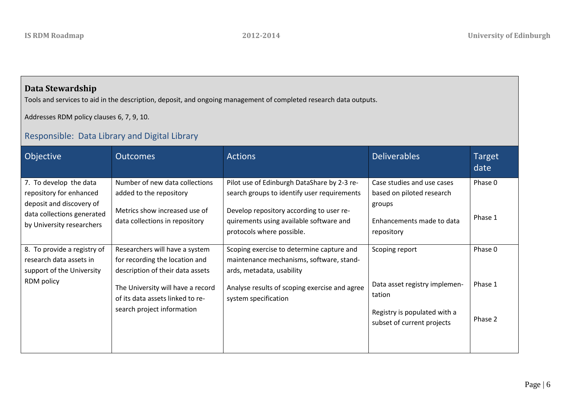## **Data Stewardship**

Tools and services to aid in the description, deposit, and ongoing management of completed research data outputs.

Addresses RDM policy clauses 6, 7, 9, 10.

## Responsible: Data Library and Digital Library

| Objective                                                                                                                                | <b>Outcomes</b>                                                                                                              | <b>Actions</b>                                                                                                                                                                                                 | <b>Deliverables</b>                                                                                          | Target<br>date     |
|------------------------------------------------------------------------------------------------------------------------------------------|------------------------------------------------------------------------------------------------------------------------------|----------------------------------------------------------------------------------------------------------------------------------------------------------------------------------------------------------------|--------------------------------------------------------------------------------------------------------------|--------------------|
| 7. To develop the data<br>repository for enhanced<br>deposit and discovery of<br>data collections generated<br>by University researchers | Number of new data collections<br>added to the repository<br>Metrics show increased use of<br>data collections in repository | Pilot use of Edinburgh DataShare by 2-3 re-<br>search groups to identify user requirements<br>Develop repository according to user re-<br>quirements using available software and<br>protocols where possible. | Case studies and use cases<br>based on piloted research<br>groups<br>Enhancements made to data<br>repository | Phase 0<br>Phase 1 |
| 8. To provide a registry of<br>research data assets in<br>support of the University                                                      | Researchers will have a system<br>for recording the location and<br>description of their data assets                         | Scoping exercise to determine capture and<br>maintenance mechanisms, software, stand-<br>ards, metadata, usability                                                                                             | Scoping report                                                                                               | Phase 0            |
| RDM policy                                                                                                                               | The University will have a record<br>of its data assets linked to re-<br>search project information                          | Analyse results of scoping exercise and agree<br>system specification                                                                                                                                          | Data asset registry implemen-<br>tation                                                                      | Phase 1            |
|                                                                                                                                          |                                                                                                                              |                                                                                                                                                                                                                | Registry is populated with a<br>subset of current projects                                                   | Phase 2            |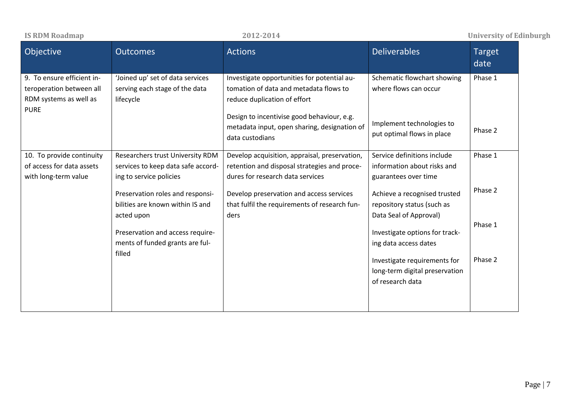| <b>IS RDM Roadmap</b>                                                                           |                                                                                                   | 2012-2014                                                                                                                         |                                                                                      | <b>University of Edinburgh</b> |
|-------------------------------------------------------------------------------------------------|---------------------------------------------------------------------------------------------------|-----------------------------------------------------------------------------------------------------------------------------------|--------------------------------------------------------------------------------------|--------------------------------|
| Objective                                                                                       | <b>Outcomes</b>                                                                                   | <b>Actions</b>                                                                                                                    | <b>Deliverables</b>                                                                  | <b>Target</b><br>date          |
| 9. To ensure efficient in-<br>teroperation between all<br>RDM systems as well as<br><b>PURE</b> | 'Joined up' set of data services<br>serving each stage of the data<br>lifecycle                   | Investigate opportunities for potential au-<br>tomation of data and metadata flows to<br>reduce duplication of effort             | Schematic flowchart showing<br>where flows can occur                                 | Phase 1                        |
|                                                                                                 |                                                                                                   | Design to incentivise good behaviour, e.g.<br>metadata input, open sharing, designation of<br>data custodians                     | Implement technologies to<br>put optimal flows in place                              | Phase 2                        |
| 10. To provide continuity<br>of access for data assets<br>with long-term value                  | Researchers trust University RDM<br>services to keep data safe accord-<br>ing to service policies | Develop acquisition, appraisal, preservation,<br>retention and disposal strategies and proce-<br>dures for research data services | Service definitions include<br>information about risks and<br>guarantees over time   | Phase 1                        |
|                                                                                                 | Preservation roles and responsi-<br>bilities are known within IS and<br>acted upon                | Develop preservation and access services<br>that fulfil the requirements of research fun-<br>ders                                 | Achieve a recognised trusted<br>repository status (such as<br>Data Seal of Approval) | Phase 2                        |
|                                                                                                 | Preservation and access require-<br>ments of funded grants are ful-                               |                                                                                                                                   | Investigate options for track-<br>ing data access dates                              | Phase 1                        |
|                                                                                                 | filled                                                                                            |                                                                                                                                   | Investigate requirements for<br>long-term digital preservation<br>of research data   | Phase 2                        |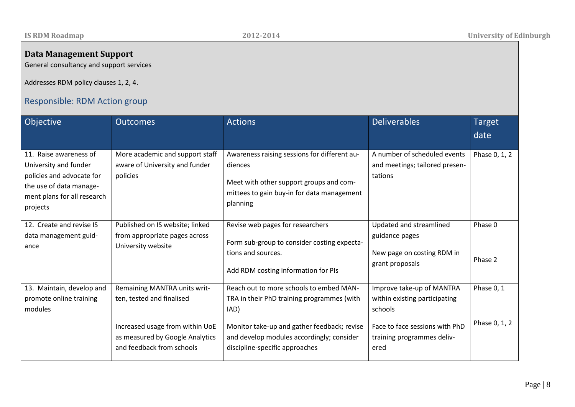## **Data Management Support**

General consultancy and support services

Addresses RDM policy clauses 1, 2, 4.

# Responsible: RDM Action group

| Objective                                                                                                                                          | <b>Outcomes</b>                                                                                                                                              | <b>Actions</b>                                                                                                                                                                                                              | <b>Deliverables</b>                                                                                                                           | <b>Target</b><br>date       |
|----------------------------------------------------------------------------------------------------------------------------------------------------|--------------------------------------------------------------------------------------------------------------------------------------------------------------|-----------------------------------------------------------------------------------------------------------------------------------------------------------------------------------------------------------------------------|-----------------------------------------------------------------------------------------------------------------------------------------------|-----------------------------|
| 11. Raise awareness of<br>University and funder<br>policies and advocate for<br>the use of data manage-<br>ment plans for all research<br>projects | More academic and support staff<br>aware of University and funder<br>policies                                                                                | Awareness raising sessions for different au-<br>diences<br>Meet with other support groups and com-<br>mittees to gain buy-in for data management<br>planning                                                                | A number of scheduled events<br>and meetings; tailored presen-<br>tations                                                                     | Phase 0, 1, 2               |
| 12. Create and revise IS<br>data management guid-<br>ance                                                                                          | Published on IS website; linked<br>from appropriate pages across<br>University website                                                                       | Revise web pages for researchers<br>Form sub-group to consider costing expecta-<br>tions and sources.<br>Add RDM costing information for PIs                                                                                | Updated and streamlined<br>guidance pages<br>New page on costing RDM in<br>grant proposals                                                    | Phase 0<br>Phase 2          |
| 13. Maintain, develop and<br>promote online training<br>modules                                                                                    | Remaining MANTRA units writ-<br>ten, tested and finalised<br>Increased usage from within UoE<br>as measured by Google Analytics<br>and feedback from schools | Reach out to more schools to embed MAN-<br>TRA in their PhD training programmes (with<br>IAD)<br>Monitor take-up and gather feedback; revise<br>and develop modules accordingly; consider<br>discipline-specific approaches | Improve take-up of MANTRA<br>within existing participating<br>schools<br>Face to face sessions with PhD<br>training programmes deliv-<br>ered | Phase 0, 1<br>Phase 0, 1, 2 |